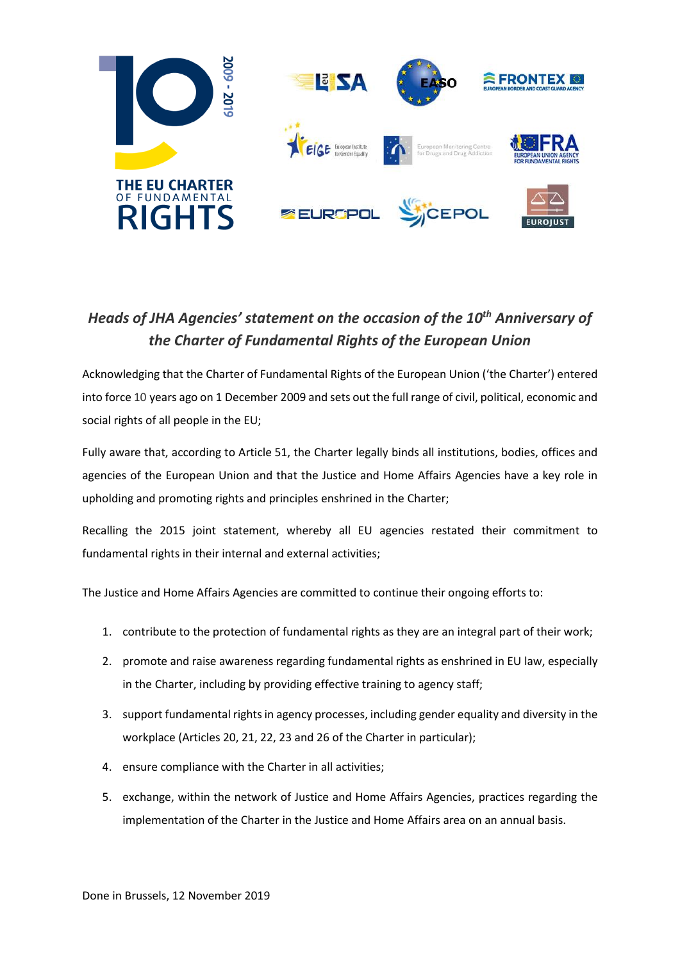

## *Heads of JHA Agencies' statement on the occasion of the 10th Anniversary of the Charter of Fundamental Rights of the European Union*

Acknowledging that the Charter of Fundamental Rights of the European Union ('the Charter') entered into force 10 years ago on 1 December 2009 and sets out the full range of civil, political, economic and social rights of all people in the EU;

Fully aware that, according to Article 51, the Charter legally binds all institutions, bodies, offices and agencies of the European Union and that the Justice and Home Affairs Agencies have a key role in upholding and promoting rights and principles enshrined in the Charter;

Recalling the 2015 joint statement, whereby all EU agencies restated their commitment to fundamental rights in their internal and external activities;

The Justice and Home Affairs Agencies are committed to continue their ongoing efforts to:

- 1. contribute to the protection of fundamental rights as they are an integral part of their work;
- 2. promote and raise awareness regarding fundamental rights as enshrined in EU law, especially in the Charter, including by providing effective training to agency staff;
- 3. support fundamental rights in agency processes, including gender equality and diversity in the workplace (Articles 20, 21, 22, 23 and 26 of the Charter in particular);
- 4. ensure compliance with the Charter in all activities;
- 5. exchange, within the network of Justice and Home Affairs Agencies, practices regarding the implementation of the Charter in the Justice and Home Affairs area on an annual basis.